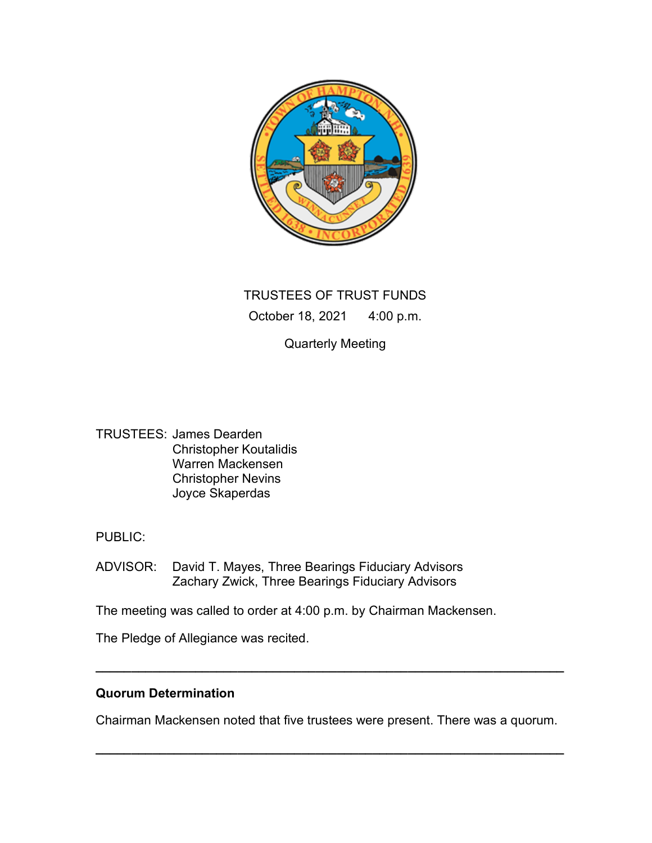

# TRUSTEES OF TRUST FUNDS October 18, 2021 4:00 p.m.

# Quarterly Meeting

TRUSTEES: James Dearden Christopher Koutalidis Warren Mackensen Christopher Nevins Joyce Skaperdas

PUBLIC:

ADVISOR: David T. Mayes, Three Bearings Fiduciary Advisors Zachary Zwick, Three Bearings Fiduciary Advisors

The meeting was called to order at 4:00 p.m. by Chairman Mackensen.

The Pledge of Allegiance was recited.

### Quorum Determination

Chairman Mackensen noted that five trustees were present. There was a quorum.

 $\overline{\phantom{a}}$  , and the contribution of the contribution of the contribution of the contribution of the contribution of the contribution of the contribution of the contribution of the contribution of the contribution of the

 $\overline{\phantom{a}}$  , and the contribution of the contribution of the contribution of the contribution of the contribution of the contribution of the contribution of the contribution of the contribution of the contribution of the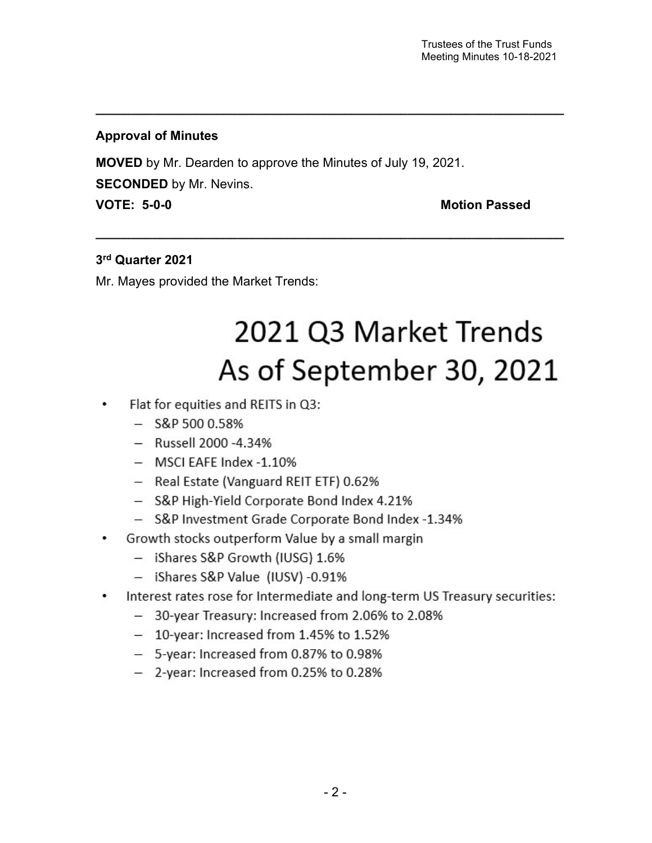# Approval of Minutes

MOVED by Mr. Dearden to approve the Minutes of July 19, 2021. **SECONDED** by Mr. Nevins.

 $\overline{\phantom{a}}$  , and the contribution of the contribution of the contribution of the contribution of the contribution of the contribution of the contribution of the contribution of the contribution of the contribution of the

 $\overline{\phantom{a}}$  , and the contribution of the contribution of the contribution of the contribution of the contribution of the contribution of the contribution of the contribution of the contribution of the contribution of the

VOTE: 5-0-0 Motion Passed

# 3 rd Quarter 2021

Mr. Mayes provided the Market Trends:

# 2021 Q3 Market Trends As of September 30, 2021

- Flat for equities and REITS in Q3: ٠
	- $-$  S&P 500 0.58%
	- Russell 2000 4.34%
	- MSCI EAFE Index -1.10%
	- Real Estate (Vanguard REIT ETF) 0.62%
	- S&P High-Yield Corporate Bond Index 4.21%
	- S&P Investment Grade Corporate Bond Index -1.34%
- Growth stocks outperform Value by a small margin ٠
	- iShares S&P Growth (IUSG) 1.6%
	- iShares S&P Value (IUSV) -0.91%
- Interest rates rose for Intermediate and long-term US Treasury securities:
	- 30-year Treasury: Increased from 2.06% to 2.08%
	- 10-year: Increased from 1.45% to 1.52%
	- 5-year: Increased from 0.87% to 0.98%
	- 2-year: Increased from 0.25% to 0.28%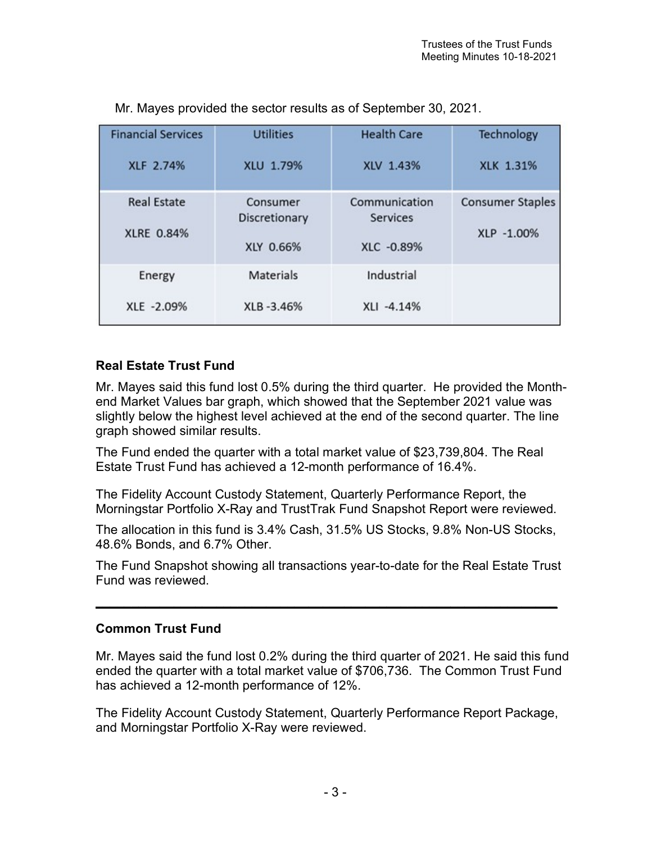| <b>Financial Services</b>               | <b>Utilities</b>                       | <b>Health Care</b>                             | <b>Technology</b>                     |
|-----------------------------------------|----------------------------------------|------------------------------------------------|---------------------------------------|
| <b>XLF 2.74%</b>                        | <b>XLU 1.79%</b>                       | XLV 1.43%                                      | <b>XLK 1.31%</b>                      |
| <b>Real Estate</b><br><b>XLRE 0.84%</b> | Consumer<br>Discretionary<br>XLY 0.66% | Communication<br><b>Services</b><br>XLC -0.89% | <b>Consumer Staples</b><br>XLP -1.00% |
| Energy                                  | <b>Materials</b>                       | Industrial                                     |                                       |
| XLE -2.09%                              | XLB-3.46%                              | XLI -4.14%                                     |                                       |

Mr. Mayes provided the sector results as of September 30, 2021.

# Real Estate Trust Fund

Mr. Mayes said this fund lost 0.5% during the third quarter. He provided the Monthend Market Values bar graph, which showed that the September 2021 value was slightly below the highest level achieved at the end of the second quarter. The line graph showed similar results.

The Fund ended the quarter with a total market value of \$23,739,804. The Real Estate Trust Fund has achieved a 12-month performance of 16.4%.

The Fidelity Account Custody Statement, Quarterly Performance Report, the Morningstar Portfolio X-Ray and TrustTrak Fund Snapshot Report were reviewed.

The allocation in this fund is 3.4% Cash, 31.5% US Stocks, 9.8% Non-US Stocks, 48.6% Bonds, and 6.7% Other.

The Fund Snapshot showing all transactions year-to-date for the Real Estate Trust Fund was reviewed.

\_\_\_\_\_\_\_\_\_\_\_\_\_\_\_\_\_\_\_\_\_\_\_\_\_\_\_\_\_\_\_\_\_\_\_\_\_\_\_\_\_\_\_\_\_\_\_\_\_\_\_\_\_\_\_\_\_\_\_\_\_\_\_\_\_

# Common Trust Fund

Mr. Mayes said the fund lost 0.2% during the third quarter of 2021. He said this fund ended the quarter with a total market value of \$706,736. The Common Trust Fund has achieved a 12-month performance of 12%.

The Fidelity Account Custody Statement, Quarterly Performance Report Package, and Morningstar Portfolio X-Ray were reviewed.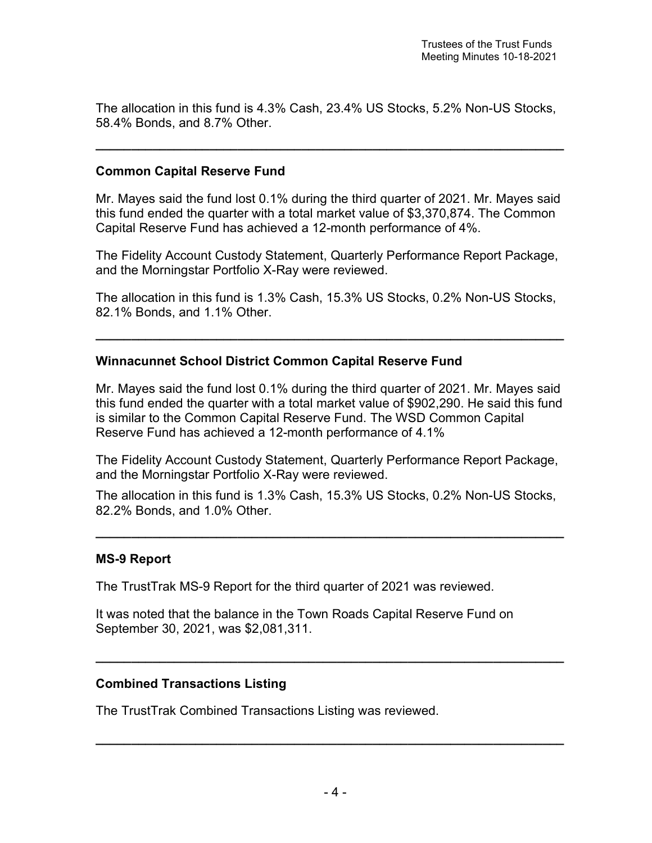The allocation in this fund is 4.3% Cash, 23.4% US Stocks, 5.2% Non-US Stocks, 58.4% Bonds, and 8.7% Other.

 $\overline{\phantom{a}}$  , and the contribution of the contribution of the contribution of the contribution of the contribution of the contribution of the contribution of the contribution of the contribution of the contribution of the

#### Common Capital Reserve Fund

Mr. Mayes said the fund lost 0.1% during the third quarter of 2021. Mr. Mayes said this fund ended the quarter with a total market value of \$3,370,874. The Common Capital Reserve Fund has achieved a 12-month performance of 4%.

The Fidelity Account Custody Statement, Quarterly Performance Report Package, and the Morningstar Portfolio X-Ray were reviewed.

The allocation in this fund is 1.3% Cash, 15.3% US Stocks, 0.2% Non-US Stocks, 82.1% Bonds, and 1.1% Other.

 $\overline{\phantom{a}}$  , and the contribution of the contribution of the contribution of the contribution of the contribution of the contribution of the contribution of the contribution of the contribution of the contribution of the

#### Winnacunnet School District Common Capital Reserve Fund

Mr. Mayes said the fund lost 0.1% during the third quarter of 2021. Mr. Mayes said this fund ended the quarter with a total market value of \$902,290. He said this fund is similar to the Common Capital Reserve Fund. The WSD Common Capital Reserve Fund has achieved a 12-month performance of 4.1%

The Fidelity Account Custody Statement, Quarterly Performance Report Package, and the Morningstar Portfolio X-Ray were reviewed.

The allocation in this fund is 1.3% Cash, 15.3% US Stocks, 0.2% Non-US Stocks, 82.2% Bonds, and 1.0% Other.

 $\overline{\phantom{a}}$  , and the contribution of the contribution of the contribution of the contribution of the contribution of the contribution of the contribution of the contribution of the contribution of the contribution of the

 $\overline{\phantom{a}}$  , and the contribution of the contribution of the contribution of the contribution of the contribution of the contribution of the contribution of the contribution of the contribution of the contribution of the

#### MS-9 Report

The TrustTrak MS-9 Report for the third quarter of 2021 was reviewed.

It was noted that the balance in the Town Roads Capital Reserve Fund on September 30, 2021, was \$2,081,311.

#### Combined Transactions Listing

The TrustTrak Combined Transactions Listing was reviewed.

 $\overline{\phantom{a}}$  , and the contribution of the contribution of the contribution of the contribution of the contribution of the contribution of the contribution of the contribution of the contribution of the contribution of the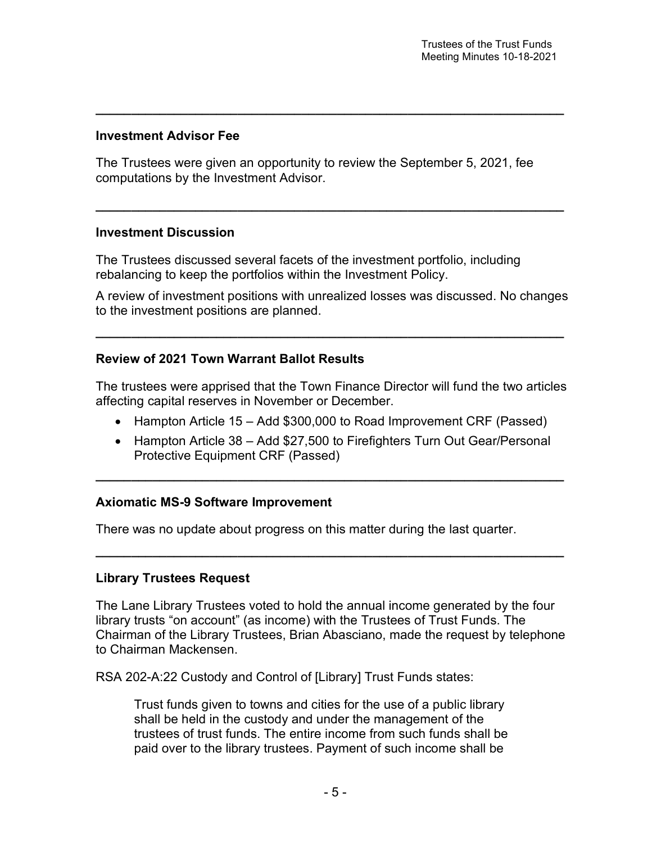#### Investment Advisor Fee

The Trustees were given an opportunity to review the September 5, 2021, fee computations by the Investment Advisor.

 $\overline{\phantom{a}}$  , and the contribution of the contribution of the contribution of the contribution of the contribution of the contribution of the contribution of the contribution of the contribution of the contribution of the

 $\overline{\phantom{a}}$  ,  $\overline{\phantom{a}}$  ,  $\overline{\phantom{a}}$  ,  $\overline{\phantom{a}}$  ,  $\overline{\phantom{a}}$  ,  $\overline{\phantom{a}}$  ,  $\overline{\phantom{a}}$  ,  $\overline{\phantom{a}}$  ,  $\overline{\phantom{a}}$  ,  $\overline{\phantom{a}}$  ,  $\overline{\phantom{a}}$  ,  $\overline{\phantom{a}}$  ,  $\overline{\phantom{a}}$  ,  $\overline{\phantom{a}}$  ,  $\overline{\phantom{a}}$  ,  $\overline{\phantom{a}}$ 

#### Investment Discussion

The Trustees discussed several facets of the investment portfolio, including rebalancing to keep the portfolios within the Investment Policy.

A review of investment positions with unrealized losses was discussed. No changes to the investment positions are planned.

 $\overline{\phantom{a}}$  , and the contribution of the contribution of the contribution of the contribution of the contribution of the contribution of the contribution of the contribution of the contribution of the contribution of the

### Review of 2021 Town Warrant Ballot Results

The trustees were apprised that the Town Finance Director will fund the two articles affecting capital reserves in November or December.

- Hampton Article 15 Add \$300,000 to Road Improvement CRF (Passed)
- Hampton Article 38 Add \$27,500 to Firefighters Turn Out Gear/Personal Protective Equipment CRF (Passed)

 $\overline{\phantom{a}}$  ,  $\overline{\phantom{a}}$  ,  $\overline{\phantom{a}}$  ,  $\overline{\phantom{a}}$  ,  $\overline{\phantom{a}}$  ,  $\overline{\phantom{a}}$  ,  $\overline{\phantom{a}}$  ,  $\overline{\phantom{a}}$  ,  $\overline{\phantom{a}}$  ,  $\overline{\phantom{a}}$  ,  $\overline{\phantom{a}}$  ,  $\overline{\phantom{a}}$  ,  $\overline{\phantom{a}}$  ,  $\overline{\phantom{a}}$  ,  $\overline{\phantom{a}}$  ,  $\overline{\phantom{a}}$ 

 $\overline{\phantom{a}}$  ,  $\overline{\phantom{a}}$  ,  $\overline{\phantom{a}}$  ,  $\overline{\phantom{a}}$  ,  $\overline{\phantom{a}}$  ,  $\overline{\phantom{a}}$  ,  $\overline{\phantom{a}}$  ,  $\overline{\phantom{a}}$  ,  $\overline{\phantom{a}}$  ,  $\overline{\phantom{a}}$  ,  $\overline{\phantom{a}}$  ,  $\overline{\phantom{a}}$  ,  $\overline{\phantom{a}}$  ,  $\overline{\phantom{a}}$  ,  $\overline{\phantom{a}}$  ,  $\overline{\phantom{a}}$ 

#### Axiomatic MS-9 Software Improvement

There was no update about progress on this matter during the last quarter.

#### Library Trustees Request

The Lane Library Trustees voted to hold the annual income generated by the four library trusts "on account" (as income) with the Trustees of Trust Funds. The Chairman of the Library Trustees, Brian Abasciano, made the request by telephone to Chairman Mackensen.

RSA 202-A:22 Custody and Control of [Library] Trust Funds states:

Trust funds given to towns and cities for the use of a public library shall be held in the custody and under the management of the trustees of trust funds. The entire income from such funds shall be paid over to the library trustees. Payment of such income shall be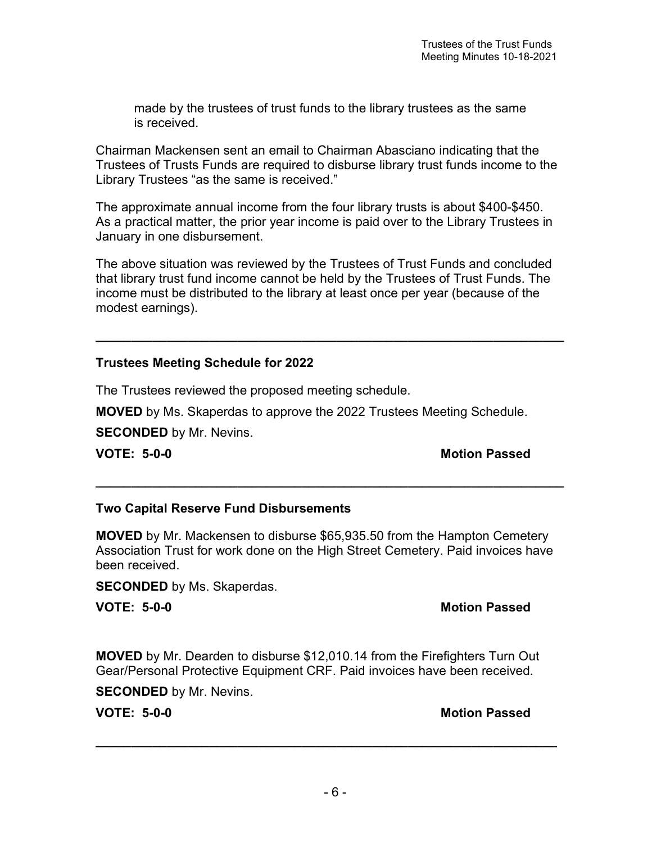made by the trustees of trust funds to the library trustees as the same is received.

Chairman Mackensen sent an email to Chairman Abasciano indicating that the Trustees of Trusts Funds are required to disburse library trust funds income to the Library Trustees "as the same is received."

The approximate annual income from the four library trusts is about \$400-\$450. As a practical matter, the prior year income is paid over to the Library Trustees in January in one disbursement.

The above situation was reviewed by the Trustees of Trust Funds and concluded that library trust fund income cannot be held by the Trustees of Trust Funds. The income must be distributed to the library at least once per year (because of the modest earnings).

 $\overline{\phantom{a}}$  , and the contribution of the contribution of the contribution of the contribution of the contribution of the contribution of the contribution of the contribution of the contribution of the contribution of the

#### Trustees Meeting Schedule for 2022

The Trustees reviewed the proposed meeting schedule.

MOVED by Ms. Skaperdas to approve the 2022 Trustees Meeting Schedule.

SECONDED by Mr. Nevins.

#### VOTE: 5-0-0 Motion Passed

#### Two Capital Reserve Fund Disbursements

MOVED by Mr. Mackensen to disburse \$65,935.50 from the Hampton Cemetery Association Trust for work done on the High Street Cemetery. Paid invoices have been received.

 $\overline{\phantom{a}}$  ,  $\overline{\phantom{a}}$  ,  $\overline{\phantom{a}}$  ,  $\overline{\phantom{a}}$  ,  $\overline{\phantom{a}}$  ,  $\overline{\phantom{a}}$  ,  $\overline{\phantom{a}}$  ,  $\overline{\phantom{a}}$  ,  $\overline{\phantom{a}}$  ,  $\overline{\phantom{a}}$  ,  $\overline{\phantom{a}}$  ,  $\overline{\phantom{a}}$  ,  $\overline{\phantom{a}}$  ,  $\overline{\phantom{a}}$  ,  $\overline{\phantom{a}}$  ,  $\overline{\phantom{a}}$ 

**SECONDED** by Ms. Skaperdas.

#### VOTE: 5-0-0 **Motion Passed**

MOVED by Mr. Dearden to disburse \$12,010.14 from the Firefighters Turn Out Gear/Personal Protective Equipment CRF. Paid invoices have been received.

SECONDED by Mr. Nevins.

VOTE: 5-0-0 Motion Passed

\_\_\_\_\_\_\_\_\_\_\_\_\_\_\_\_\_\_\_\_\_\_\_\_\_\_\_\_\_\_\_\_\_\_\_\_\_\_\_\_\_\_\_\_\_\_\_\_\_\_\_\_\_\_\_\_\_\_\_\_\_\_\_\_\_